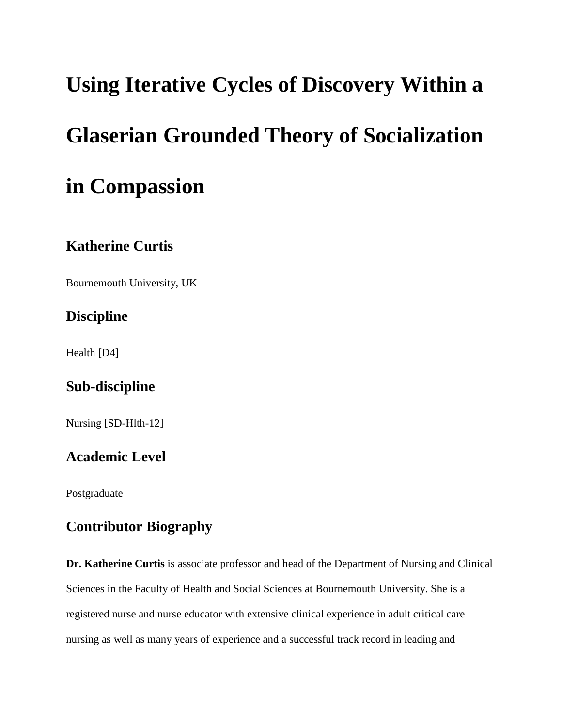# **Using Iterative Cycles of Discovery Within a**

# **Glaserian Grounded Theory of Socialization**

# **in Compassion**

## **Katherine Curtis**

Bournemouth University, UK

## **Discipline**

Health [D4]

## **Sub-discipline**

Nursing [SD-Hlth-12]

## **Academic Level**

Postgraduate

## **Contributor Biography**

**Dr. Katherine Curtis** is associate professor and head of the Department of Nursing and Clinical Sciences in the Faculty of Health and Social Sciences at Bournemouth University. She is a registered nurse and nurse educator with extensive clinical experience in adult critical care nursing as well as many years of experience and a successful track record in leading and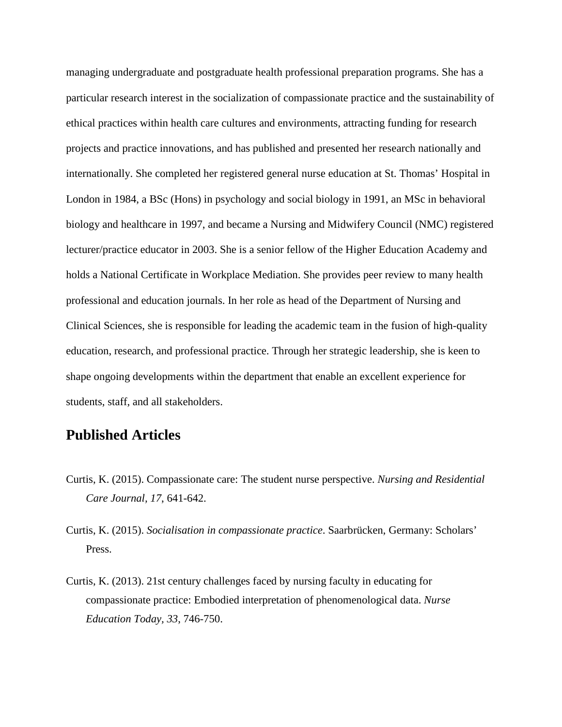managing undergraduate and postgraduate health professional preparation programs. She has a particular research interest in the socialization of compassionate practice and the sustainability of ethical practices within health care cultures and environments, attracting funding for research projects and practice innovations, and has published and presented her research nationally and internationally. She completed her registered general nurse education at St. Thomas' Hospital in London in 1984, a BSc (Hons) in psychology and social biology in 1991, an MSc in behavioral biology and healthcare in 1997, and became a Nursing and Midwifery Council (NMC) registered lecturer/practice educator in 2003. She is a senior fellow of the Higher Education Academy and holds a National Certificate in Workplace Mediation. She provides peer review to many health professional and education journals. In her role as head of the Department of Nursing and Clinical Sciences, she is responsible for leading the academic team in the fusion of high-quality education, research, and professional practice. Through her strategic leadership, she is keen to shape ongoing developments within the department that enable an excellent experience for students, staff, and all stakeholders.

#### **Published Articles**

- Curtis, K. (2015). Compassionate care: The student nurse perspective. *Nursing and Residential Care Journal, 17*, 641-642.
- Curtis, K. (2015). *Socialisation in compassionate practice*. Saarbrücken, Germany: Scholars' Press.
- Curtis, K. (2013). 21st century challenges faced by nursing faculty in educating for compassionate practice: Embodied interpretation of phenomenological data. *Nurse Education Today, 33*, 746-750.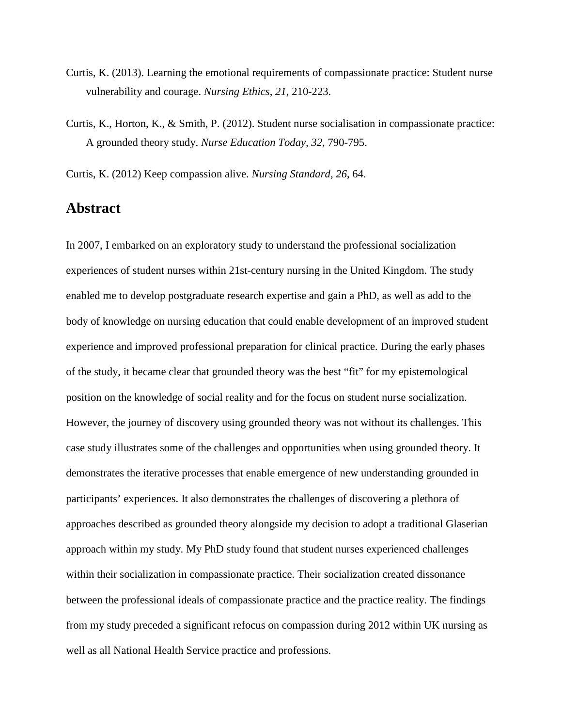- Curtis, K. (2013). Learning the emotional requirements of compassionate practice: Student nurse vulnerability and courage. *Nursing Ethics, 21*, 210-223.
- Curtis, K., Horton, K., & Smith, P. (2012). Student nurse socialisation in compassionate practice: A grounded theory study. *Nurse Education Today, 32*, 790-795.

Curtis, K. (2012) Keep compassion alive. *Nursing Standard, 26*, 64.

#### **Abstract**

In 2007, I embarked on an exploratory study to understand the professional socialization experiences of student nurses within 21st-century nursing in the United Kingdom. The study enabled me to develop postgraduate research expertise and gain a PhD, as well as add to the body of knowledge on nursing education that could enable development of an improved student experience and improved professional preparation for clinical practice. During the early phases of the study, it became clear that grounded theory was the best "fit" for my epistemological position on the knowledge of social reality and for the focus on student nurse socialization. However, the journey of discovery using grounded theory was not without its challenges. This case study illustrates some of the challenges and opportunities when using grounded theory. It demonstrates the iterative processes that enable emergence of new understanding grounded in participants' experiences. It also demonstrates the challenges of discovering a plethora of approaches described as grounded theory alongside my decision to adopt a traditional Glaserian approach within my study. My PhD study found that student nurses experienced challenges within their socialization in compassionate practice. Their socialization created dissonance between the professional ideals of compassionate practice and the practice reality. The findings from my study preceded a significant refocus on compassion during 2012 within UK nursing as well as all National Health Service practice and professions.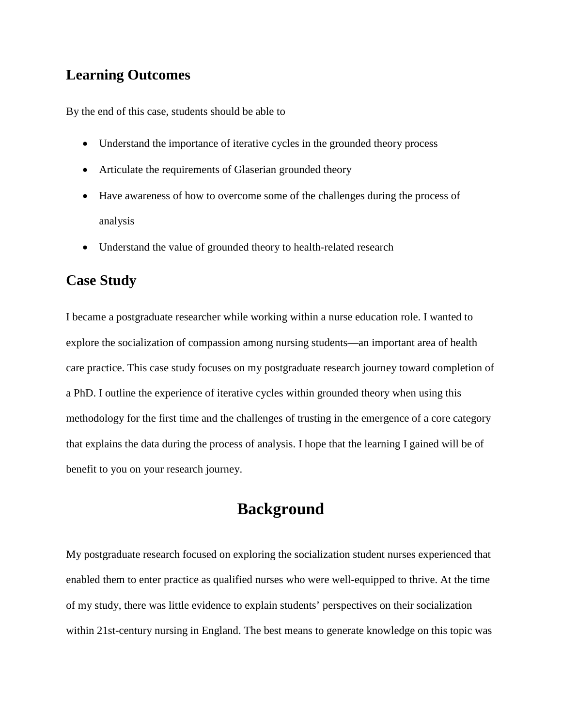#### **Learning Outcomes**

By the end of this case, students should be able to

- Understand the importance of iterative cycles in the grounded theory process
- Articulate the requirements of Glaserian grounded theory
- Have awareness of how to overcome some of the challenges during the process of analysis
- Understand the value of grounded theory to health-related research

#### **Case Study**

I became a postgraduate researcher while working within a nurse education role. I wanted to explore the socialization of compassion among nursing students—an important area of health care practice. This case study focuses on my postgraduate research journey toward completion of a PhD. I outline the experience of iterative cycles within grounded theory when using this methodology for the first time and the challenges of trusting in the emergence of a core category that explains the data during the process of analysis. I hope that the learning I gained will be of benefit to you on your research journey.

## **Background**

My postgraduate research focused on exploring the socialization student nurses experienced that enabled them to enter practice as qualified nurses who were well-equipped to thrive. At the time of my study, there was little evidence to explain students' perspectives on their socialization within 21st-century nursing in England. The best means to generate knowledge on this topic was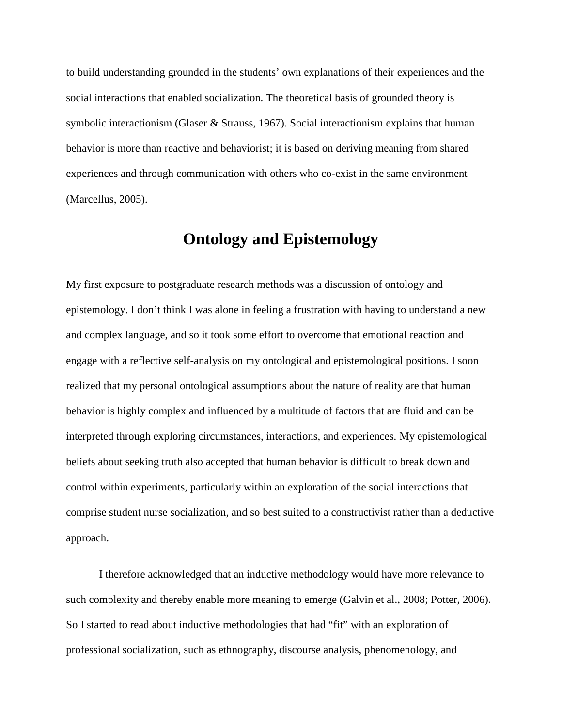to build understanding grounded in the students' own explanations of their experiences and the social interactions that enabled socialization. The theoretical basis of grounded theory is symbolic interactionism (Glaser & Strauss, 1967). Social interactionism explains that human behavior is more than reactive and behaviorist; it is based on deriving meaning from shared experiences and through communication with others who co-exist in the same environment (Marcellus, 2005).

## **Ontology and Epistemology**

My first exposure to postgraduate research methods was a discussion of ontology and epistemology. I don't think I was alone in feeling a frustration with having to understand a new and complex language, and so it took some effort to overcome that emotional reaction and engage with a reflective self-analysis on my ontological and epistemological positions. I soon realized that my personal ontological assumptions about the nature of reality are that human behavior is highly complex and influenced by a multitude of factors that are fluid and can be interpreted through exploring circumstances, interactions, and experiences. My epistemological beliefs about seeking truth also accepted that human behavior is difficult to break down and control within experiments, particularly within an exploration of the social interactions that comprise student nurse socialization, and so best suited to a constructivist rather than a deductive approach.

I therefore acknowledged that an inductive methodology would have more relevance to such complexity and thereby enable more meaning to emerge (Galvin et al., 2008; Potter, 2006). So I started to read about inductive methodologies that had "fit" with an exploration of professional socialization, such as ethnography, discourse analysis, phenomenology, and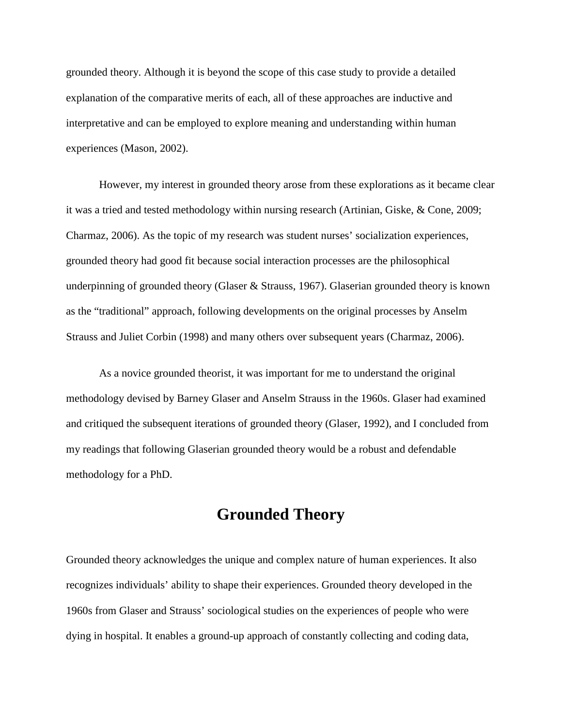grounded theory. Although it is beyond the scope of this case study to provide a detailed explanation of the comparative merits of each, all of these approaches are inductive and interpretative and can be employed to explore meaning and understanding within human experiences (Mason, 2002).

However, my interest in grounded theory arose from these explorations as it became clear it was a tried and tested methodology within nursing research (Artinian, Giske, & Cone, 2009; Charmaz, 2006). As the topic of my research was student nurses' socialization experiences, grounded theory had good fit because social interaction processes are the philosophical underpinning of grounded theory (Glaser & Strauss, 1967). Glaserian grounded theory is known as the "traditional" approach, following developments on the original processes by Anselm Strauss and Juliet Corbin (1998) and many others over subsequent years (Charmaz, 2006).

As a novice grounded theorist, it was important for me to understand the original methodology devised by Barney Glaser and Anselm Strauss in the 1960s. Glaser had examined and critiqued the subsequent iterations of grounded theory (Glaser, 1992), and I concluded from my readings that following Glaserian grounded theory would be a robust and defendable methodology for a PhD.

## **Grounded Theory**

Grounded theory acknowledges the unique and complex nature of human experiences. It also recognizes individuals' ability to shape their experiences. Grounded theory developed in the 1960s from Glaser and Strauss' sociological studies on the experiences of people who were dying in hospital. It enables a ground-up approach of constantly collecting and coding data,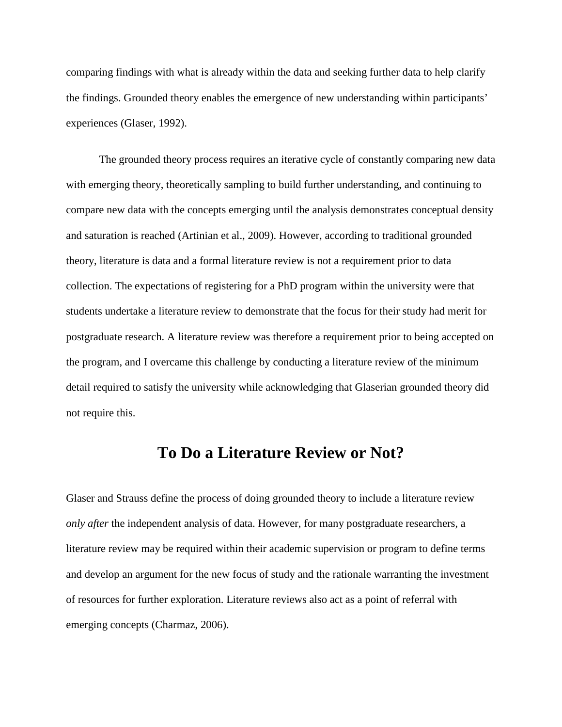comparing findings with what is already within the data and seeking further data to help clarify the findings. Grounded theory enables the emergence of new understanding within participants' experiences (Glaser, 1992).

The grounded theory process requires an iterative cycle of constantly comparing new data with emerging theory, theoretically sampling to build further understanding, and continuing to compare new data with the concepts emerging until the analysis demonstrates conceptual density and saturation is reached (Artinian et al., 2009). However, according to traditional grounded theory, literature is data and a formal literature review is not a requirement prior to data collection. The expectations of registering for a PhD program within the university were that students undertake a literature review to demonstrate that the focus for their study had merit for postgraduate research. A literature review was therefore a requirement prior to being accepted on the program, and I overcame this challenge by conducting a literature review of the minimum detail required to satisfy the university while acknowledging that Glaserian grounded theory did not require this.

## **To Do a Literature Review or Not?**

Glaser and Strauss define the process of doing grounded theory to include a literature review *only after* the independent analysis of data. However, for many postgraduate researchers, a literature review may be required within their academic supervision or program to define terms and develop an argument for the new focus of study and the rationale warranting the investment of resources for further exploration. Literature reviews also act as a point of referral with emerging concepts (Charmaz, 2006).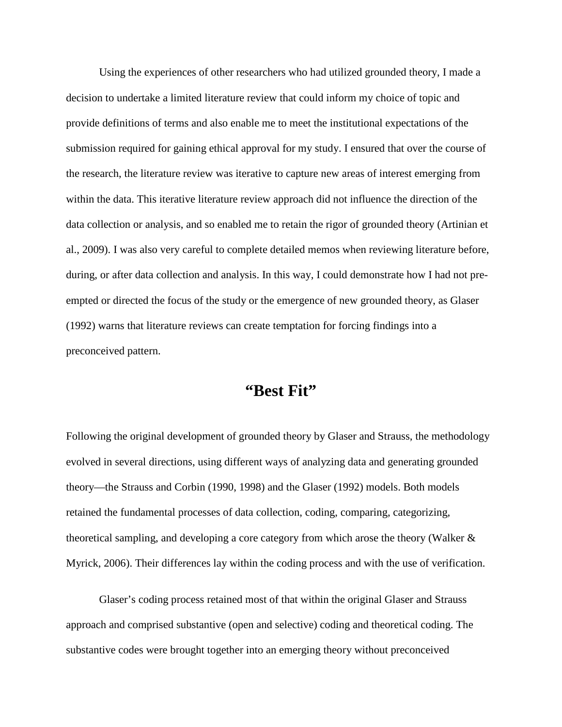Using the experiences of other researchers who had utilized grounded theory, I made a decision to undertake a limited literature review that could inform my choice of topic and provide definitions of terms and also enable me to meet the institutional expectations of the submission required for gaining ethical approval for my study. I ensured that over the course of the research, the literature review was iterative to capture new areas of interest emerging from within the data. This iterative literature review approach did not influence the direction of the data collection or analysis, and so enabled me to retain the rigor of grounded theory (Artinian et al., 2009). I was also very careful to complete detailed memos when reviewing literature before, during, or after data collection and analysis. In this way, I could demonstrate how I had not preempted or directed the focus of the study or the emergence of new grounded theory, as Glaser (1992) warns that literature reviews can create temptation for forcing findings into a preconceived pattern.

## **"Best Fit"**

Following the original development of grounded theory by Glaser and Strauss, the methodology evolved in several directions, using different ways of analyzing data and generating grounded theory—the Strauss and Corbin (1990, 1998) and the Glaser (1992) models. Both models retained the fundamental processes of data collection, coding, comparing, categorizing, theoretical sampling, and developing a core category from which arose the theory (Walker & Myrick, 2006). Their differences lay within the coding process and with the use of verification.

Glaser's coding process retained most of that within the original Glaser and Strauss approach and comprised substantive (open and selective) coding and theoretical coding. The substantive codes were brought together into an emerging theory without preconceived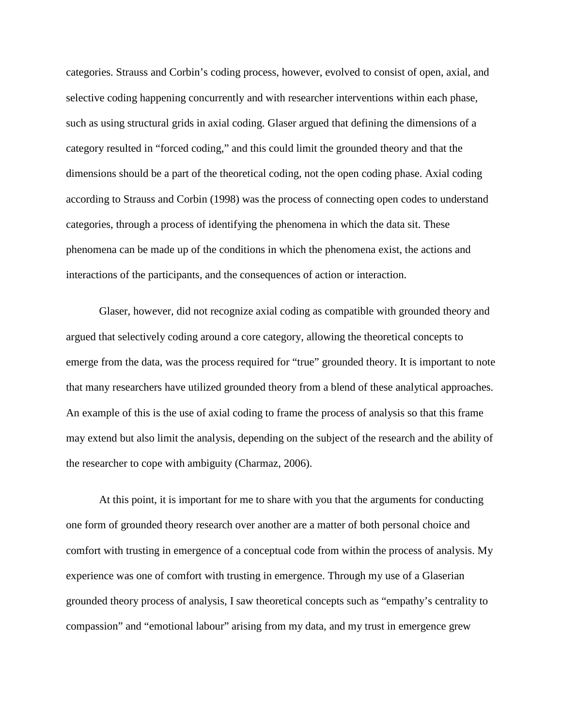categories. Strauss and Corbin's coding process, however, evolved to consist of open, axial, and selective coding happening concurrently and with researcher interventions within each phase, such as using structural grids in axial coding. Glaser argued that defining the dimensions of a category resulted in "forced coding," and this could limit the grounded theory and that the dimensions should be a part of the theoretical coding, not the open coding phase. Axial coding according to Strauss and Corbin (1998) was the process of connecting open codes to understand categories, through a process of identifying the phenomena in which the data sit. These phenomena can be made up of the conditions in which the phenomena exist, the actions and interactions of the participants, and the consequences of action or interaction.

Glaser, however, did not recognize axial coding as compatible with grounded theory and argued that selectively coding around a core category, allowing the theoretical concepts to emerge from the data, was the process required for "true" grounded theory. It is important to note that many researchers have utilized grounded theory from a blend of these analytical approaches. An example of this is the use of axial coding to frame the process of analysis so that this frame may extend but also limit the analysis, depending on the subject of the research and the ability of the researcher to cope with ambiguity (Charmaz, 2006).

At this point, it is important for me to share with you that the arguments for conducting one form of grounded theory research over another are a matter of both personal choice and comfort with trusting in emergence of a conceptual code from within the process of analysis. My experience was one of comfort with trusting in emergence. Through my use of a Glaserian grounded theory process of analysis, I saw theoretical concepts such as "empathy's centrality to compassion" and "emotional labour" arising from my data, and my trust in emergence grew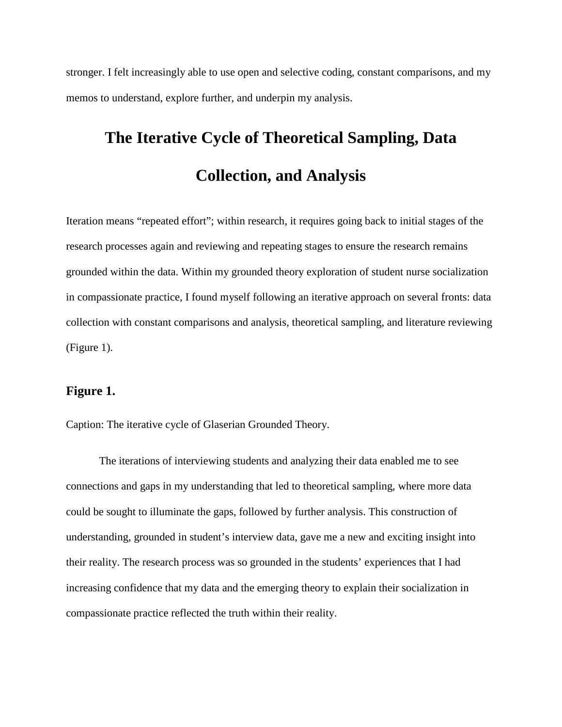stronger. I felt increasingly able to use open and selective coding, constant comparisons, and my memos to understand, explore further, and underpin my analysis.

# **The Iterative Cycle of Theoretical Sampling, Data Collection, and Analysis**

Iteration means "repeated effort"; within research, it requires going back to initial stages of the research processes again and reviewing and repeating stages to ensure the research remains grounded within the data. Within my grounded theory exploration of student nurse socialization in compassionate practice, I found myself following an iterative approach on several fronts: data collection with constant comparisons and analysis, theoretical sampling, and literature reviewing (Figure 1).

#### **Figure 1.**

Caption: The iterative cycle of Glaserian Grounded Theory.

The iterations of interviewing students and analyzing their data enabled me to see connections and gaps in my understanding that led to theoretical sampling, where more data could be sought to illuminate the gaps, followed by further analysis. This construction of understanding, grounded in student's interview data, gave me a new and exciting insight into their reality. The research process was so grounded in the students' experiences that I had increasing confidence that my data and the emerging theory to explain their socialization in compassionate practice reflected the truth within their reality.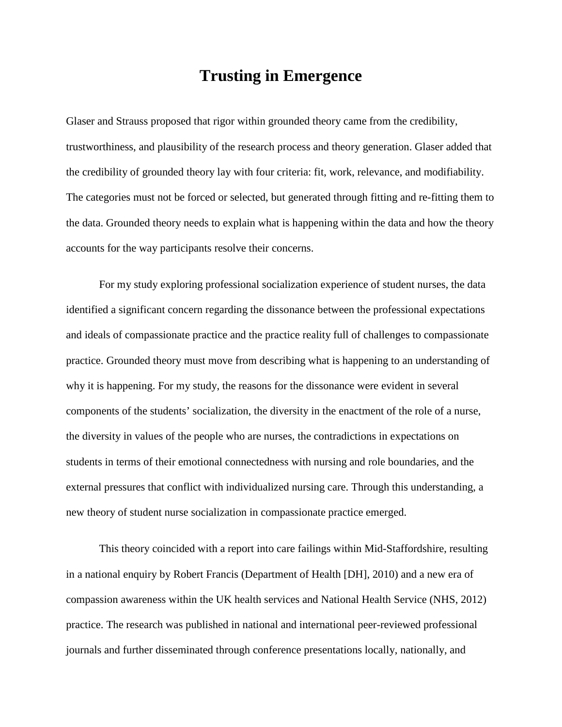### **Trusting in Emergence**

Glaser and Strauss proposed that rigor within grounded theory came from the credibility, trustworthiness, and plausibility of the research process and theory generation. Glaser added that the credibility of grounded theory lay with four criteria: fit, work, relevance, and modifiability. The categories must not be forced or selected, but generated through fitting and re-fitting them to the data. Grounded theory needs to explain what is happening within the data and how the theory accounts for the way participants resolve their concerns.

For my study exploring professional socialization experience of student nurses, the data identified a significant concern regarding the dissonance between the professional expectations and ideals of compassionate practice and the practice reality full of challenges to compassionate practice. Grounded theory must move from describing what is happening to an understanding of why it is happening. For my study, the reasons for the dissonance were evident in several components of the students' socialization, the diversity in the enactment of the role of a nurse, the diversity in values of the people who are nurses, the contradictions in expectations on students in terms of their emotional connectedness with nursing and role boundaries, and the external pressures that conflict with individualized nursing care. Through this understanding, a new theory of student nurse socialization in compassionate practice emerged.

This theory coincided with a report into care failings within Mid-Staffordshire, resulting in a national enquiry by Robert Francis (Department of Health [DH], 2010) and a new era of compassion awareness within the UK health services and National Health Service (NHS, 2012) practice. The research was published in national and international peer-reviewed professional journals and further disseminated through conference presentations locally, nationally, and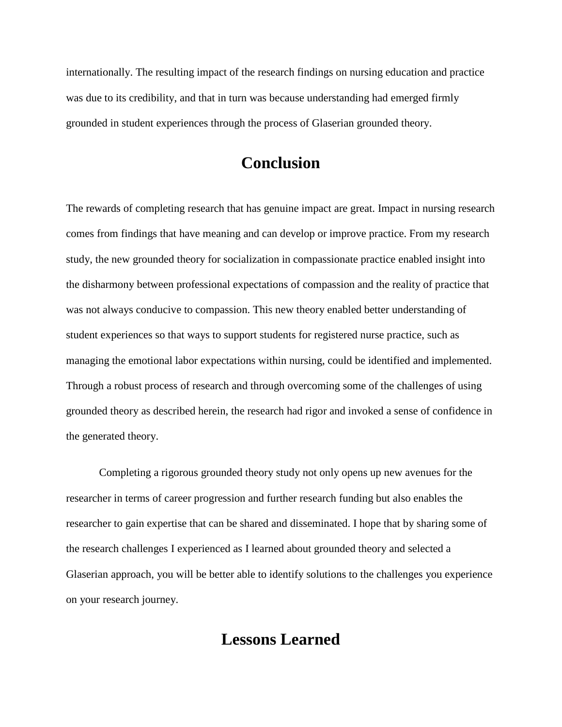internationally. The resulting impact of the research findings on nursing education and practice was due to its credibility, and that in turn was because understanding had emerged firmly grounded in student experiences through the process of Glaserian grounded theory.

## **Conclusion**

The rewards of completing research that has genuine impact are great. Impact in nursing research comes from findings that have meaning and can develop or improve practice. From my research study, the new grounded theory for socialization in compassionate practice enabled insight into the disharmony between professional expectations of compassion and the reality of practice that was not always conducive to compassion. This new theory enabled better understanding of student experiences so that ways to support students for registered nurse practice, such as managing the emotional labor expectations within nursing, could be identified and implemented. Through a robust process of research and through overcoming some of the challenges of using grounded theory as described herein, the research had rigor and invoked a sense of confidence in the generated theory.

Completing a rigorous grounded theory study not only opens up new avenues for the researcher in terms of career progression and further research funding but also enables the researcher to gain expertise that can be shared and disseminated. I hope that by sharing some of the research challenges I experienced as I learned about grounded theory and selected a Glaserian approach, you will be better able to identify solutions to the challenges you experience on your research journey.

## **Lessons Learned**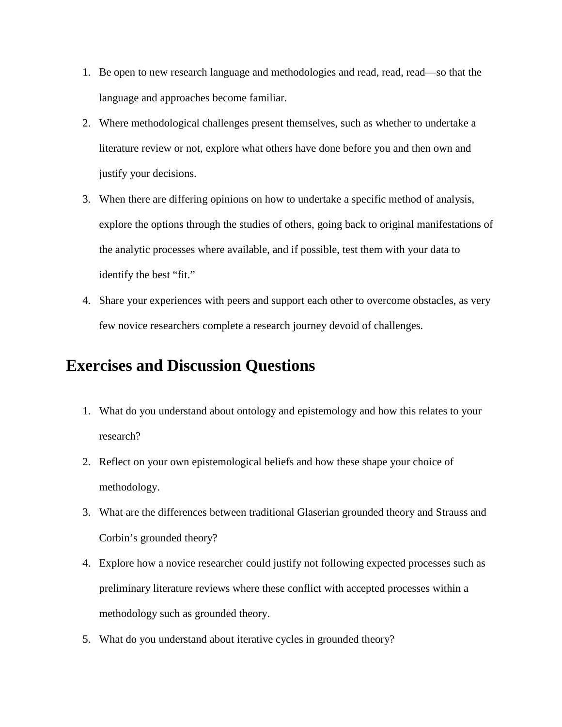- 1. Be open to new research language and methodologies and read, read, read—so that the language and approaches become familiar.
- 2. Where methodological challenges present themselves, such as whether to undertake a literature review or not, explore what others have done before you and then own and justify your decisions.
- 3. When there are differing opinions on how to undertake a specific method of analysis, explore the options through the studies of others, going back to original manifestations of the analytic processes where available, and if possible, test them with your data to identify the best "fit."
- 4. Share your experiences with peers and support each other to overcome obstacles, as very few novice researchers complete a research journey devoid of challenges.

## **Exercises and Discussion Questions**

- 1. What do you understand about ontology and epistemology and how this relates to your research?
- 2. Reflect on your own epistemological beliefs and how these shape your choice of methodology.
- 3. What are the differences between traditional Glaserian grounded theory and Strauss and Corbin's grounded theory?
- 4. Explore how a novice researcher could justify not following expected processes such as preliminary literature reviews where these conflict with accepted processes within a methodology such as grounded theory.
- 5. What do you understand about iterative cycles in grounded theory?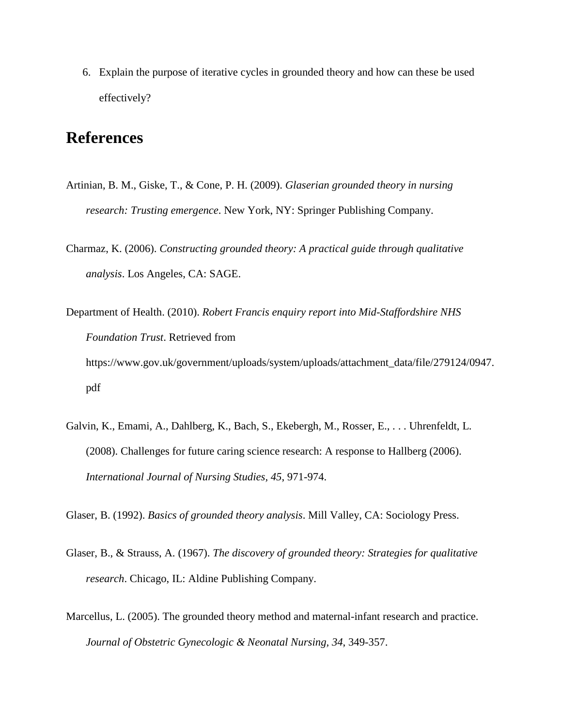6. Explain the purpose of iterative cycles in grounded theory and how can these be used effectively?

## **References**

- Artinian, B. M., Giske, T., & Cone, P. H. (2009). *Glaserian grounded theory in nursing research: Trusting emergence*. New York, NY: Springer Publishing Company.
- Charmaz, K. (2006). *Constructing grounded theory: A practical guide through qualitative analysis*. Los Angeles, CA: SAGE.
- Department of Health. (2010). *Robert Francis enquiry report into Mid-Staffordshire NHS Foundation Trust*. Retrieved from https://www.gov.uk/government/uploads/system/uploads/attachment\_data/file/279124/0947. pdf
- Galvin, K., Emami, A., Dahlberg, K., Bach, S., Ekebergh, M., Rosser, E., . . . Uhrenfeldt, L. (2008). Challenges for future caring science research: A response to Hallberg (2006). *International Journal of Nursing Studies, 45*, 971-974.
- Glaser, B. (1992). *Basics of grounded theory analysis*. Mill Valley, CA: Sociology Press.
- Glaser, B., & Strauss, A. (1967). *The discovery of grounded theory: Strategies for qualitative research*. Chicago, IL: Aldine Publishing Company.
- Marcellus, L. (2005). The grounded theory method and maternal-infant research and practice. *Journal of Obstetric Gynecologic & Neonatal Nursing, 34*, 349-357.